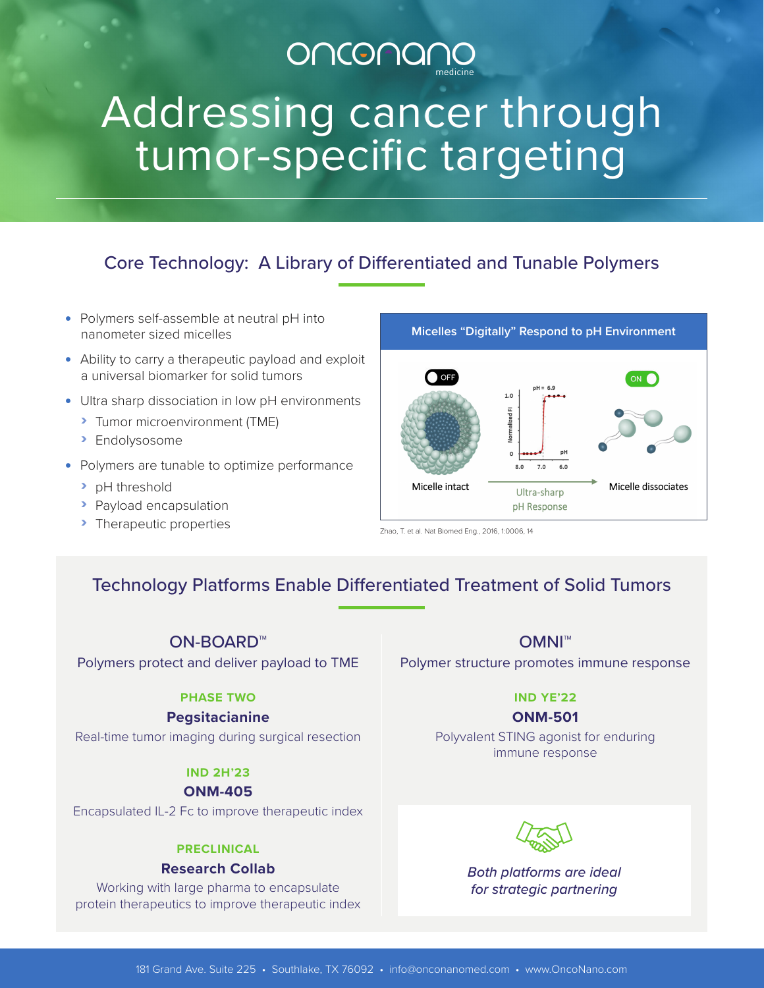## ONCOMANO

# Addressing cancer through tumor-specific targeting

## Core Technology: A Library of Differentiated and Tunable Polymers

- Polymers self-assemble at neutral pH into nanometer sized micelles
- Ability to carry a therapeutic payload and exploit a universal biomarker for solid tumors
- Ultra sharp dissociation in low pH environments
	- **>** Tumor microenvironment (TME)
	- › Endolysosome
- Polymers are tunable to optimize performance
	- › pH threshold
	- › Payload encapsulation
	- **Therapeutic properties**



Zhao, T. et al. Nat Biomed Eng., 2016, 1:0006, 14

### Technology Platforms Enable Differentiated Treatment of Solid Tumors

#### ON-BOARD™

Polymers protect and deliver payload to TME

#### **PHASE TWO IND YE'22**

#### **Pegsitacianine ONM-501**

Real-time tumor imaging during surgical resection Polyvalent STING agonist for enduring

#### **IND 2H'23**

#### **ONM-405**

Encapsulated IL-2 Fc to improve therapeutic index

#### **PRECLINICAL**

#### **Research Collab**

Working with large pharma to encapsulate protein therapeutics to improve therapeutic index

#### OMNI™

Polymer structure promotes immune response

immune response



*Both platforms are ideal for strategic partnering*